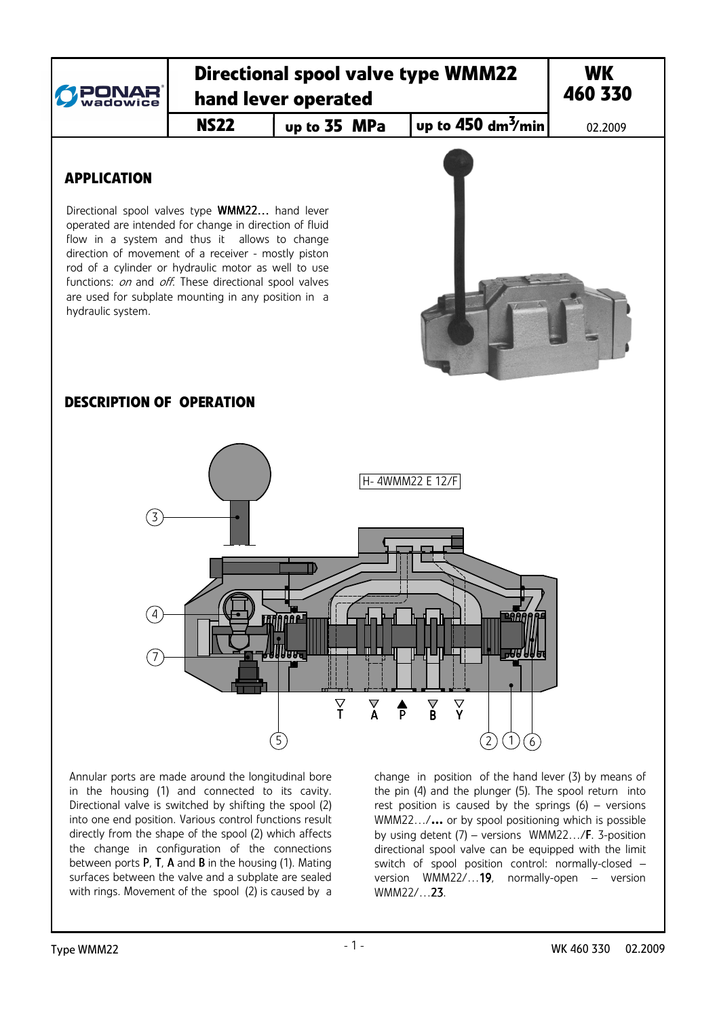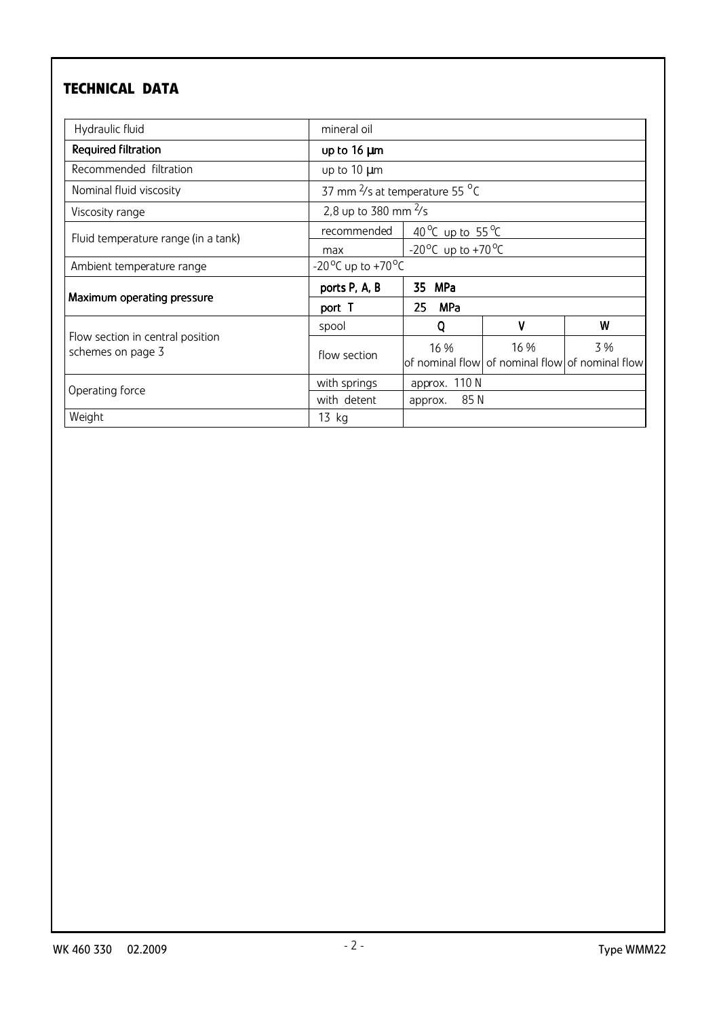# **TECHNICAL DATA**

| Hydraulic fluid                                       | mineral oil                                |                                             |      |                                                       |
|-------------------------------------------------------|--------------------------------------------|---------------------------------------------|------|-------------------------------------------------------|
| Required filtration                                   | up to 16 µm                                |                                             |      |                                                       |
| Recommended filtration                                | up to $10 \mu m$                           |                                             |      |                                                       |
| Nominal fluid viscosity                               | 37 mm <sup>2</sup> /s at temperature 55 °C |                                             |      |                                                       |
| Viscosity range                                       | 2,8 up to 380 mm $\frac{2}{5}$             |                                             |      |                                                       |
| Fluid temperature range (in a tank)                   | recommended                                | 40 °C up to 55 °C                           |      |                                                       |
|                                                       | max                                        | -20 <sup>o</sup> C up to +70 <sup>o</sup> C |      |                                                       |
| Ambient temperature range                             | -20 °C up to +70 °C                        |                                             |      |                                                       |
| Maximum operating pressure                            | ports P, A, B                              | 35<br>MPa                                   |      |                                                       |
|                                                       | port T                                     | 25<br><b>MPa</b>                            |      |                                                       |
| Flow section in central position<br>schemes on page 3 | spool                                      | 0                                           | V    | W                                                     |
|                                                       | flow section                               | 16 %                                        | 16 % | 3%<br>of nominal flow of nominal flow of nominal flow |
| Operating force                                       | with springs                               | approx. 110 N                               |      |                                                       |
|                                                       | with detent                                | 85 N<br>approx.                             |      |                                                       |
| Weight                                                | $13$ kg                                    |                                             |      |                                                       |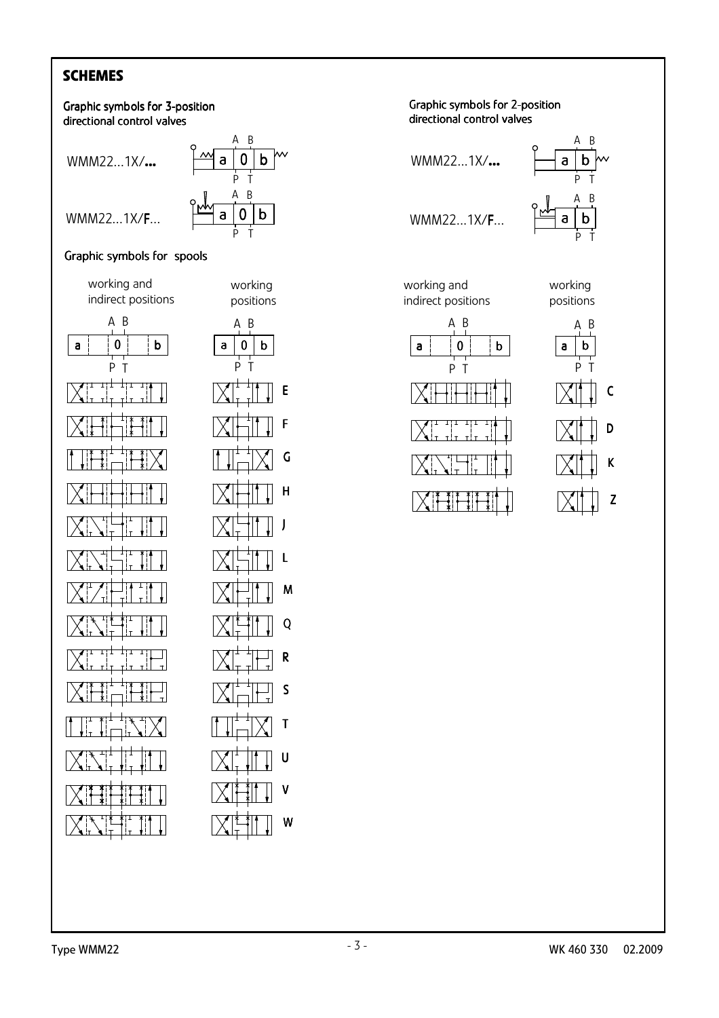# **SCHEMES**



#### Graphic symbols for spools

working and indirect positions

A B

P T

ᆩ



E

F

G

H

J

L

M

Q

R

S

T

U

V

W

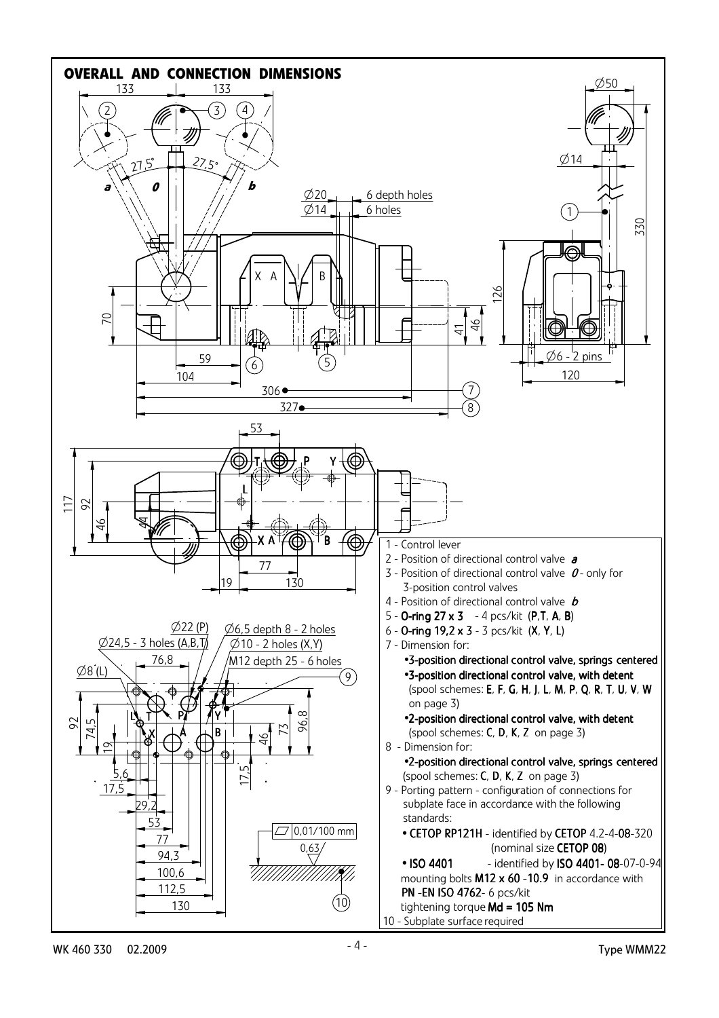

WK 460 330 02.2009 Type WMM22 - 4 -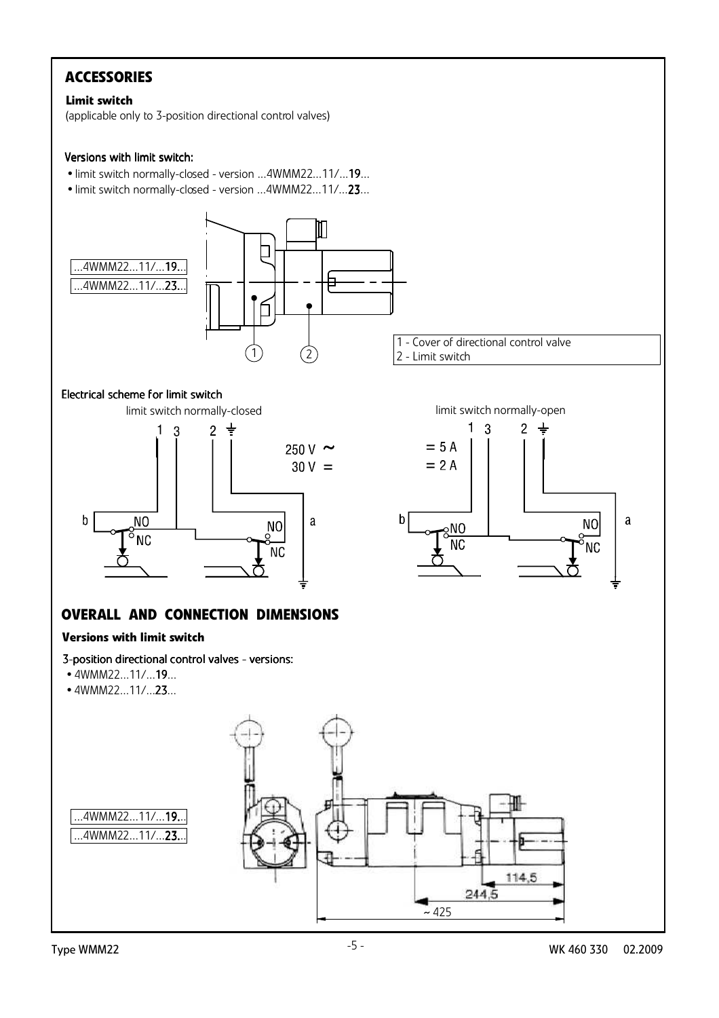# **ACCESSORIES**

#### **Limit switch**

(applicable only to 3-position directional control valves)

#### Versions with limit switch:

- limit switch normally-closed version ...4WMM22...11/...19...
- limit switch normally-closed version ...4WMM22...11/...23...



limit switch normally-open

 $2 \frac{1}{2}$ 

 $1<sub>3</sub>$ 

 $= 5 A$ 

 $= 2 A$ 

 $\frac{1}{2}$ 

**NC** 

 $\mathsf b$ 

#### Electrical scheme for limit switch



# **OVERALL AND CONNECTION DIMENSIONS**

#### **Versions with limit switch**

- 3-position directional control valves versions:
- 4WMM22...11/...19...
- 4WMM22...11/...23...



 $\mathbf{a}$ 

**NO** 

ΝC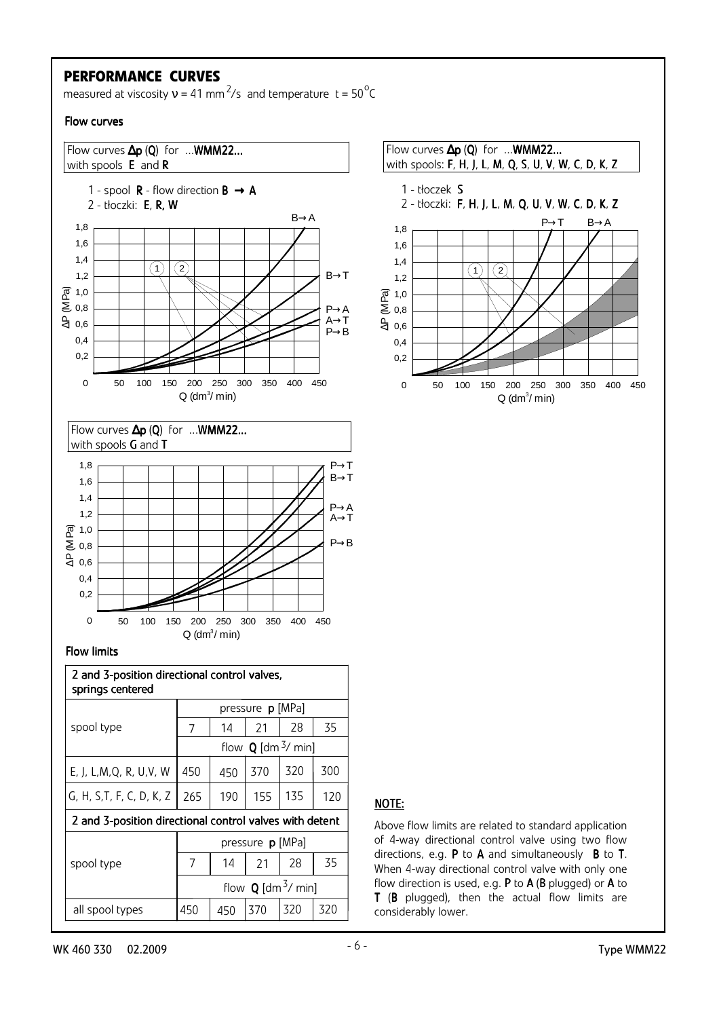### **PERFORMANCE CURVES**

measured at viscosity  $v = 41$  mm<sup>2</sup>/s and temperature t = 50<sup>°</sup>C

#### Flow curves

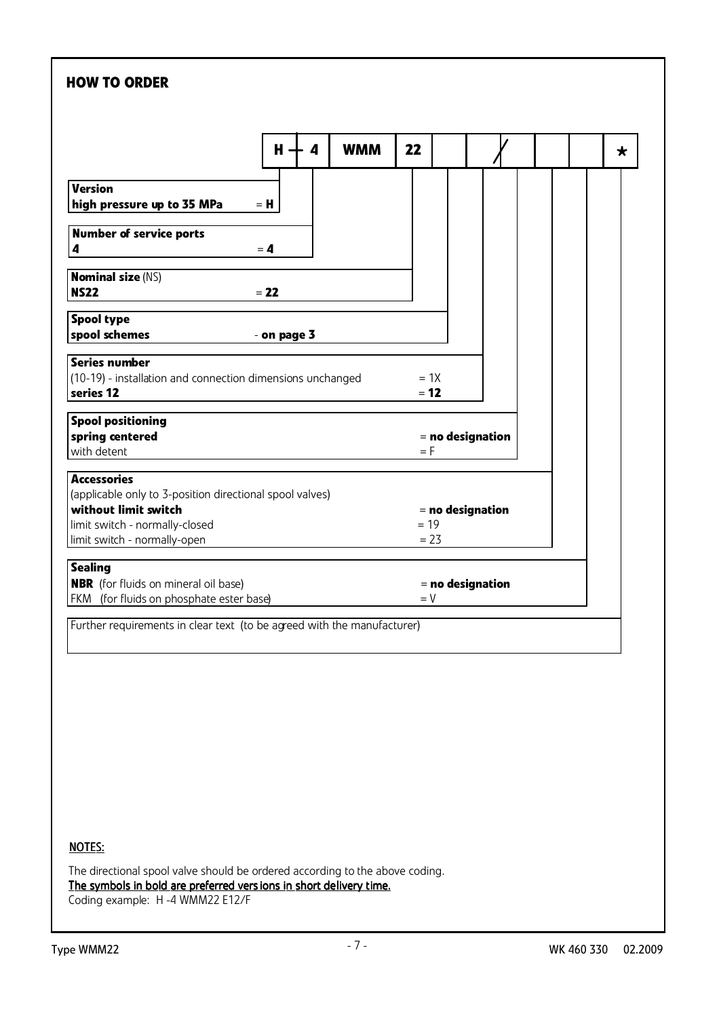# **HOW TO ORDER WMM \* Version**  $\frac{1}{2}$  high pressure up to 35 MPa  $=$  H  **Spool type spool schemes** - **on page 3 Spool positioning spring centered example 2 i s spring centered = no designation** with detent  $=$  F  **Accessories** (applicable only to 3-position directional spool valves)  **without limit switch** = **no designation**  $\vert$ limit switch - normally-closed  $= 19$  $\vert$  limit switch - normally-open  $\vert$  = 23 Further requirements in clear text (to be agreed with the manufacturer)  **Series number**  $(10-19)$  - installation and connection dimensions unchanged  $= 1X$  **series 12**  $= 12$  **Nominal size** (NS)  **NS22** = **22 H 4 Number of service ports**  $\bullet$  **4**  $\bullet$  **4 Sealing NBR** (for fluids on mineral oil base)  $=$  **no designation**  $FKM$  (for fluids on phosphate ester base)  $= V$  **22** NOTES: The directional spool valve should be ordered according to the above coding. The symbols in bold are preferred vers ions in short delivery time. Coding example: H -4 WMM22 E12/F